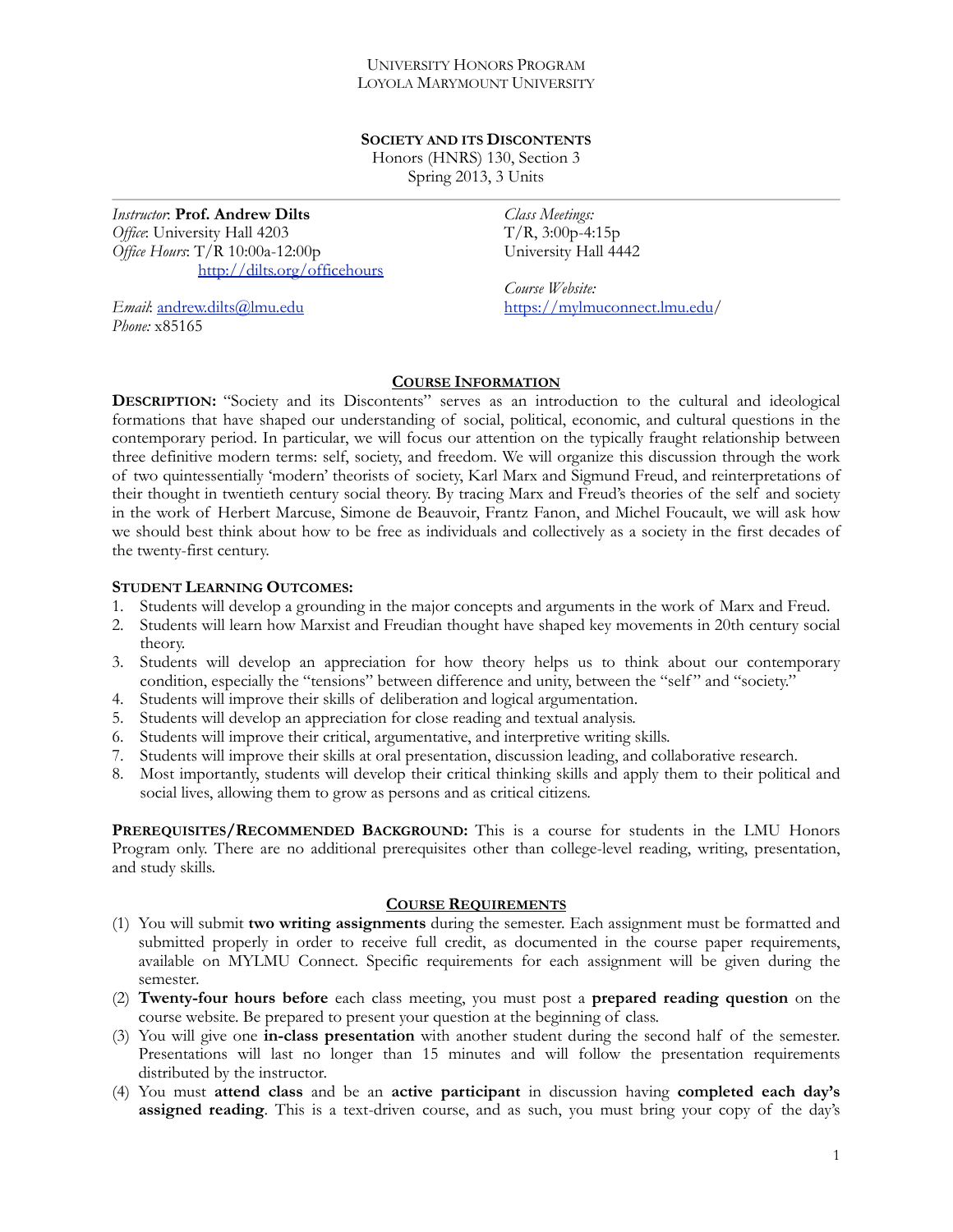## UNIVERSITY HONORS PROGRAM LOYOLA MARYMOUNT UNIVERSITY

### **SOCIETY AND ITS DISCONTENTS**

Honors (HNRS) 130, Section 3 Spring 2013, 3 Units

*Instructor*: **Prof. Andrew Dilts** *Office*: University Hall 4203 *Office Hours*: T/R 10:00a-12:00p <http://dilts.org/officehours>

*Email*: [andrew.dilts@lmu.edu](mailto:adilts@lmu.edu) *Phone:* x85165

*Class Meetings:*   $T/R$ , 3:00p-4:15p University Hall 4442

*Course Website:*  [https://mylmuconnect.lmu.edu/](https://mylmuconnect.lmu.edu)

# **COURSE INFORMATION**

**DESCRIPTION:** "Society and its Discontents" serves as an introduction to the cultural and ideological formations that have shaped our understanding of social, political, economic, and cultural questions in the contemporary period. In particular, we will focus our attention on the typically fraught relationship between three definitive modern terms: self, society, and freedom. We will organize this discussion through the work of two quintessentially 'modern' theorists of society, Karl Marx and Sigmund Freud, and reinterpretations of their thought in twentieth century social theory. By tracing Marx and Freud's theories of the self and society in the work of Herbert Marcuse, Simone de Beauvoir, Frantz Fanon, and Michel Foucault, we will ask how we should best think about how to be free as individuals and collectively as a society in the first decades of the twenty-first century.

# **STUDENT LEARNING OUTCOMES:**

- 1. Students will develop a grounding in the major concepts and arguments in the work of Marx and Freud.
- 2. Students will learn how Marxist and Freudian thought have shaped key movements in 20th century social theory.
- 3. Students will develop an appreciation for how theory helps us to think about our contemporary condition, especially the "tensions" between difference and unity, between the "self" and "society."
- 4. Students will improve their skills of deliberation and logical argumentation.
- 5. Students will develop an appreciation for close reading and textual analysis.
- 6. Students will improve their critical, argumentative, and interpretive writing skills.
- 7. Students will improve their skills at oral presentation, discussion leading, and collaborative research.
- 8. Most importantly, students will develop their critical thinking skills and apply them to their political and social lives, allowing them to grow as persons and as critical citizens.

**PREREQUISITES/RECOMMENDED BACKGROUND:** This is a course for students in the LMU Honors Program only. There are no additional prerequisites other than college-level reading, writing, presentation, and study skills.

### **COURSE REQUIREMENTS**

- (1) You will submit **two writing assignments** during the semester. Each assignment must be formatted and submitted properly in order to receive full credit, as documented in the course paper requirements, available on MYLMU Connect. Specific requirements for each assignment will be given during the semester.
- (2) **Twenty-four hours before** each class meeting, you must post a **prepared reading question** on the course website. Be prepared to present your question at the beginning of class.
- (3) You will give one **in-class presentation** with another student during the second half of the semester. Presentations will last no longer than 15 minutes and will follow the presentation requirements distributed by the instructor.
- (4) You must **attend class** and be an **active participant** in discussion having **completed each day's assigned reading**. This is a text-driven course, and as such, you must bring your copy of the day's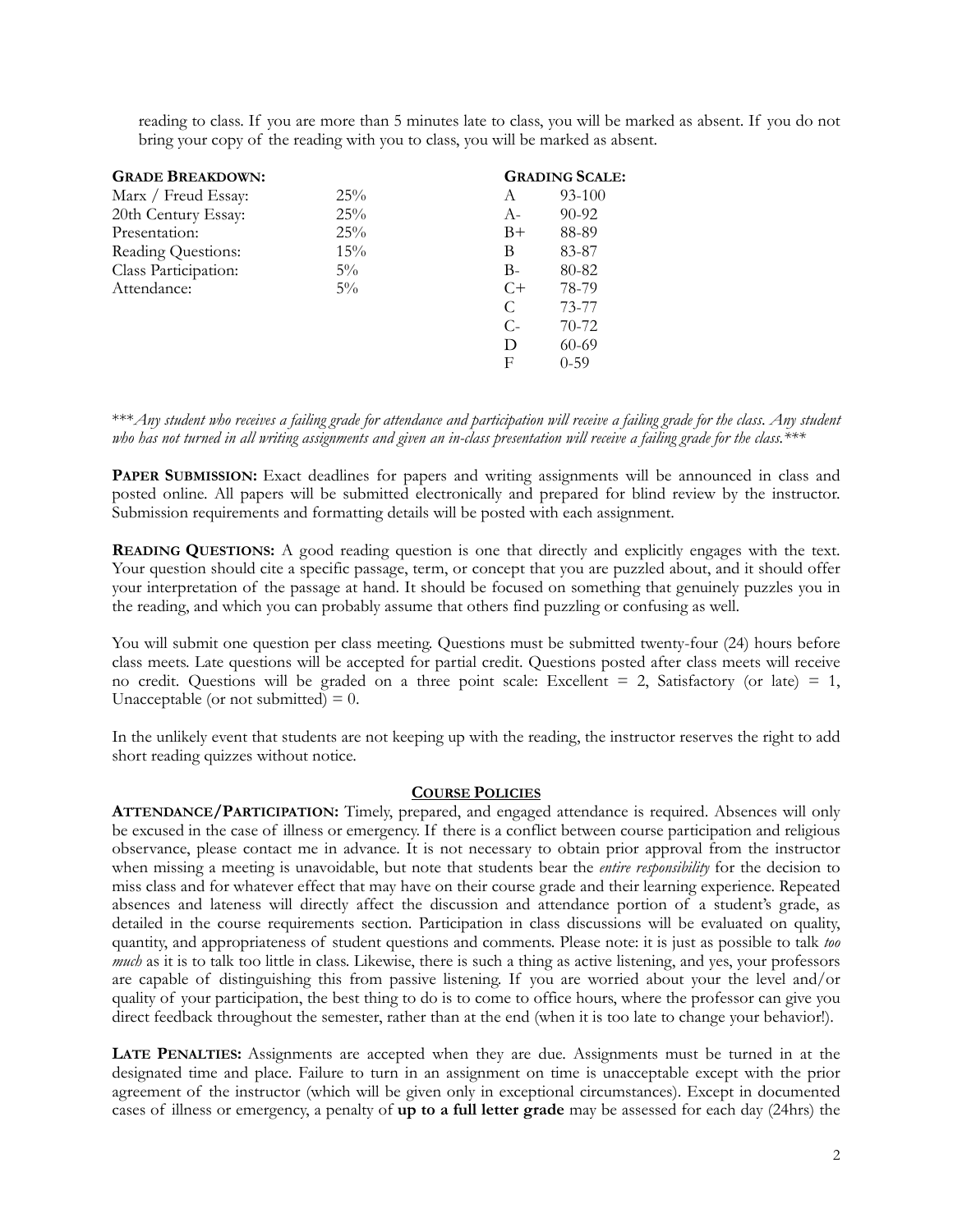reading to class. If you are more than 5 minutes late to class, you will be marked as absent. If you do not bring your copy of the reading with you to class, you will be marked as absent.

| <b>GRADE BREAKDOWN:</b> |       |       | <b>GRADING SCALE:</b> |
|-------------------------|-------|-------|-----------------------|
| Marx / Freud Essay:     | 25%   | A     | 93-100                |
| 20th Century Essay:     | 25%   | $A-$  | $90 - 92$             |
| Presentation:           | 25%   | $B+$  | 88-89                 |
| Reading Questions:      | 15%   | В     | 83-87                 |
| Class Participation:    | $5\%$ | $B-$  | 80-82                 |
| Attendance:             | $5\%$ | $C+$  | 78-79                 |
|                         |       | C     | 73-77                 |
|                         |       | $C$ - | $70-72$               |
|                         |       | D     | $60 - 69$             |
|                         |       | F     | $0 - 59$              |

\*\*\**Any student who receives a failing grade for attendance and participation will receive a failing grade for the class*. *Any student who has not turned in all writing assignments and given an in-class presentation will receive a failing grade for the class.\*\*\**

**PAPER SUBMISSION:** Exact deadlines for papers and writing assignments will be announced in class and posted online. All papers will be submitted electronically and prepared for blind review by the instructor. Submission requirements and formatting details will be posted with each assignment.

**READING QUESTIONS:** A good reading question is one that directly and explicitly engages with the text. Your question should cite a specific passage, term, or concept that you are puzzled about, and it should offer your interpretation of the passage at hand. It should be focused on something that genuinely puzzles you in the reading, and which you can probably assume that others find puzzling or confusing as well.

You will submit one question per class meeting. Questions must be submitted twenty-four (24) hours before class meets. Late questions will be accepted for partial credit. Questions posted after class meets will receive no credit. Questions will be graded on a three point scale: Excellent  $= 2$ , Satisfactory (or late)  $= 1$ , Unacceptable (or not submitted)  $= 0$ .

In the unlikely event that students are not keeping up with the reading, the instructor reserves the right to add short reading quizzes without notice.

### **COURSE POLICIES**

**ATTENDANCE/PARTICIPATION:** Timely, prepared, and engaged attendance is required. Absences will only be excused in the case of illness or emergency. If there is a conflict between course participation and religious observance, please contact me in advance. It is not necessary to obtain prior approval from the instructor when missing a meeting is unavoidable, but note that students bear the *entire responsibility* for the decision to miss class and for whatever effect that may have on their course grade and their learning experience. Repeated absences and lateness will directly affect the discussion and attendance portion of a student's grade, as detailed in the course requirements section. Participation in class discussions will be evaluated on quality, quantity, and appropriateness of student questions and comments. Please note: it is just as possible to talk *too much* as it is to talk too little in class. Likewise, there is such a thing as active listening, and yes, your professors are capable of distinguishing this from passive listening. If you are worried about your the level and/or quality of your participation, the best thing to do is to come to office hours, where the professor can give you direct feedback throughout the semester, rather than at the end (when it is too late to change your behavior!).

**LATE PENALTIES:** Assignments are accepted when they are due. Assignments must be turned in at the designated time and place. Failure to turn in an assignment on time is unacceptable except with the prior agreement of the instructor (which will be given only in exceptional circumstances). Except in documented cases of illness or emergency, a penalty of **up to a full letter grade** may be assessed for each day (24hrs) the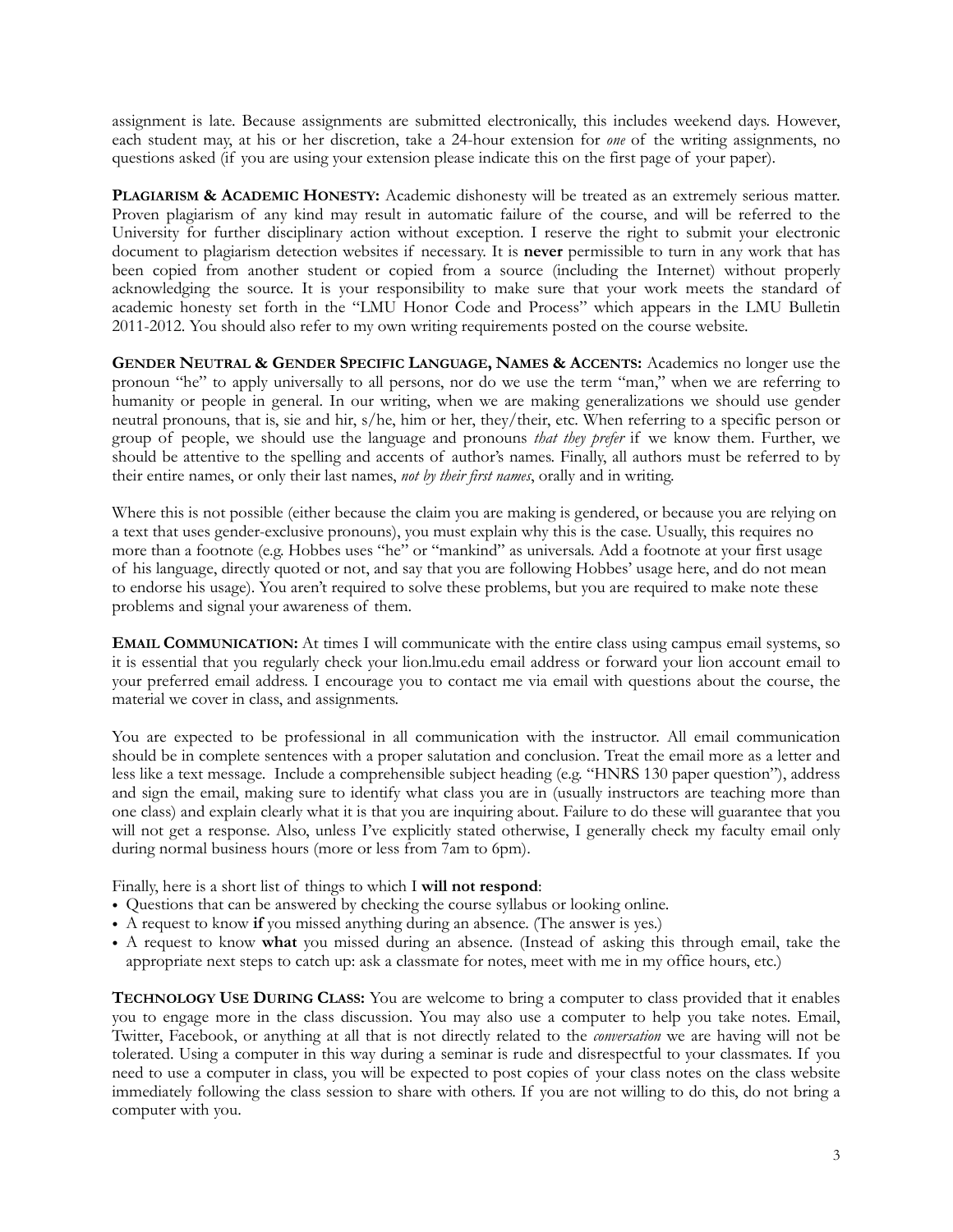assignment is late. Because assignments are submitted electronically, this includes weekend days. However, each student may, at his or her discretion, take a 24-hour extension for *one* of the writing assignments, no questions asked (if you are using your extension please indicate this on the first page of your paper).

**PLAGIARISM & ACADEMIC HONESTY:** Academic dishonesty will be treated as an extremely serious matter. Proven plagiarism of any kind may result in automatic failure of the course, and will be referred to the University for further disciplinary action without exception. I reserve the right to submit your electronic document to plagiarism detection websites if necessary. It is **never** permissible to turn in any work that has been copied from another student or copied from a source (including the Internet) without properly acknowledging the source. It is your responsibility to make sure that your work meets the standard of academic honesty set forth in the "LMU Honor Code and Process" which appears in the LMU Bulletin 2011-2012. You should also refer to my own writing requirements posted on the course website.

**GENDER NEUTRAL & GENDER SPECIFIC LANGUAGE, NAMES & ACCENTS:** Academics no longer use the pronoun "he" to apply universally to all persons, nor do we use the term "man," when we are referring to humanity or people in general. In our writing, when we are making generalizations we should use gender neutral pronouns, that is, sie and hir, s/he, him or her, they/their, etc. When referring to a specific person or group of people, we should use the language and pronouns *that they prefer* if we know them. Further, we should be attentive to the spelling and accents of author's names. Finally, all authors must be referred to by their entire names, or only their last names, *not by their first names*, orally and in writing.

Where this is not possible (either because the claim you are making is gendered, or because you are relying on a text that uses gender-exclusive pronouns), you must explain why this is the case. Usually, this requires no more than a footnote (e.g. Hobbes uses "he" or "mankind" as universals. Add a footnote at your first usage of his language, directly quoted or not, and say that you are following Hobbes' usage here, and do not mean to endorse his usage). You aren't required to solve these problems, but you are required to make note these problems and signal your awareness of them.

**EMAIL COMMUNICATION:** At times I will communicate with the entire class using campus email systems, so it is essential that you regularly check your lion.lmu.edu email address or forward your lion account email to your preferred email address. I encourage you to contact me via email with questions about the course, the material we cover in class, and assignments.

You are expected to be professional in all communication with the instructor. All email communication should be in complete sentences with a proper salutation and conclusion. Treat the email more as a letter and less like a text message. Include a comprehensible subject heading (e.g. "HNRS 130 paper question"), address and sign the email, making sure to identify what class you are in (usually instructors are teaching more than one class) and explain clearly what it is that you are inquiring about. Failure to do these will guarantee that you will not get a response. Also, unless I've explicitly stated otherwise, I generally check my faculty email only during normal business hours (more or less from 7am to 6pm).

Finally, here is a short list of things to which I **will not respond**:

- Questions that can be answered by checking the course syllabus or looking online.
- A request to know **if** you missed anything during an absence. (The answer is yes.)
- A request to know **what** you missed during an absence. (Instead of asking this through email, take the appropriate next steps to catch up: ask a classmate for notes, meet with me in my office hours, etc.)

**TECHNOLOGY USE DURING CLASS:** You are welcome to bring a computer to class provided that it enables you to engage more in the class discussion. You may also use a computer to help you take notes. Email, Twitter, Facebook, or anything at all that is not directly related to the *conversation* we are having will not be tolerated. Using a computer in this way during a seminar is rude and disrespectful to your classmates. If you need to use a computer in class, you will be expected to post copies of your class notes on the class website immediately following the class session to share with others. If you are not willing to do this, do not bring a computer with you.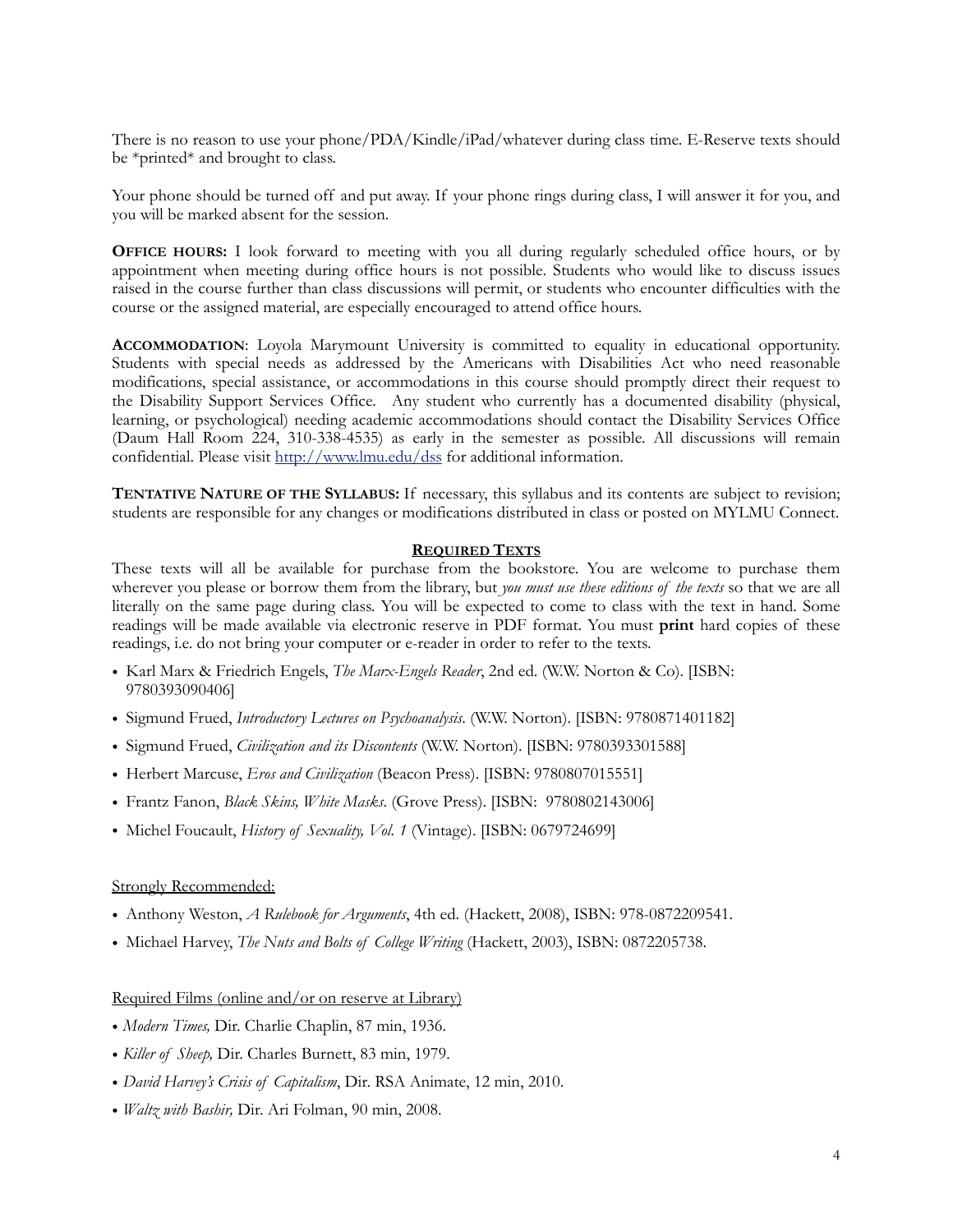There is no reason to use your phone/PDA/Kindle/iPad/whatever during class time. E-Reserve texts should be \*printed\* and brought to class.

Your phone should be turned off and put away. If your phone rings during class, I will answer it for you, and you will be marked absent for the session.

**OFFICE HOURS:** I look forward to meeting with you all during regularly scheduled office hours, or by appointment when meeting during office hours is not possible. Students who would like to discuss issues raised in the course further than class discussions will permit, or students who encounter difficulties with the course or the assigned material, are especially encouraged to attend office hours.

**ACCOMMODATION**: Loyola Marymount University is committed to equality in educational opportunity. Students with special needs as addressed by the Americans with Disabilities Act who need reasonable modifications, special assistance, or accommodations in this course should promptly direct their request to the Disability Support Services Office. Any student who currently has a documented disability (physical, learning, or psychological) needing academic accommodations should contact the Disability Services Office (Daum Hall Room 224, 310-338-4535) as early in the semester as possible. All discussions will remain confidential. Please visit <http://www.lmu.edu/dss> for additional information.

**TENTATIVE NATURE OF THE SYLLABUS:** If necessary, this syllabus and its contents are subject to revision; students are responsible for any changes or modifications distributed in class or posted on MYLMU Connect.

#### **REQUIRED TEXTS**

These texts will all be available for purchase from the bookstore. You are welcome to purchase them wherever you please or borrow them from the library, but *you must use these editions of the texts* so that we are all literally on the same page during class. You will be expected to come to class with the text in hand. Some readings will be made available via electronic reserve in PDF format. You must **print** hard copies of these readings, i.e. do not bring your computer or e-reader in order to refer to the texts.

- Karl Marx & Friedrich Engels, *The Marx-Engels Reader*, 2nd ed. (W.W. Norton & Co). [ISBN: 9780393090406]
- Sigmund Frued, *Introductory Lectures on Psychoanalysis*. (W.W. Norton). [ISBN: 9780871401182]
- Sigmund Frued, *Civilization and its Discontents* (W.W. Norton). [ISBN: 9780393301588]
- Herbert Marcuse, *Eros and Civilization* (Beacon Press). [ISBN: 9780807015551]
- Frantz Fanon, *Black Skins, White Masks*. (Grove Press). [ISBN: 9780802143006]
- Michel Foucault, *History of Sexuality, Vol. 1* (Vintage). [ISBN: 0679724699]

#### Strongly Recommended:

- Anthony Weston, *A Rulebook for Arguments*, 4th ed. (Hackett, 2008), ISBN: 978-0872209541.
- Michael Harvey, *The Nuts and Bolts of College Writing* (Hackett, 2003), ISBN: 0872205738.

#### Required Films (online and/or on reserve at Library)

- *Modern Times,* Dir. Charlie Chaplin, 87 min, 1936.
- *Killer of Sheep,* Dir. Charles Burnett, 83 min, 1979.
- *David Harvey's Crisis of Capitalism*, Dir. RSA Animate, 12 min, 2010.
- *Waltz with Bashir,* Dir. Ari Folman, 90 min, 2008.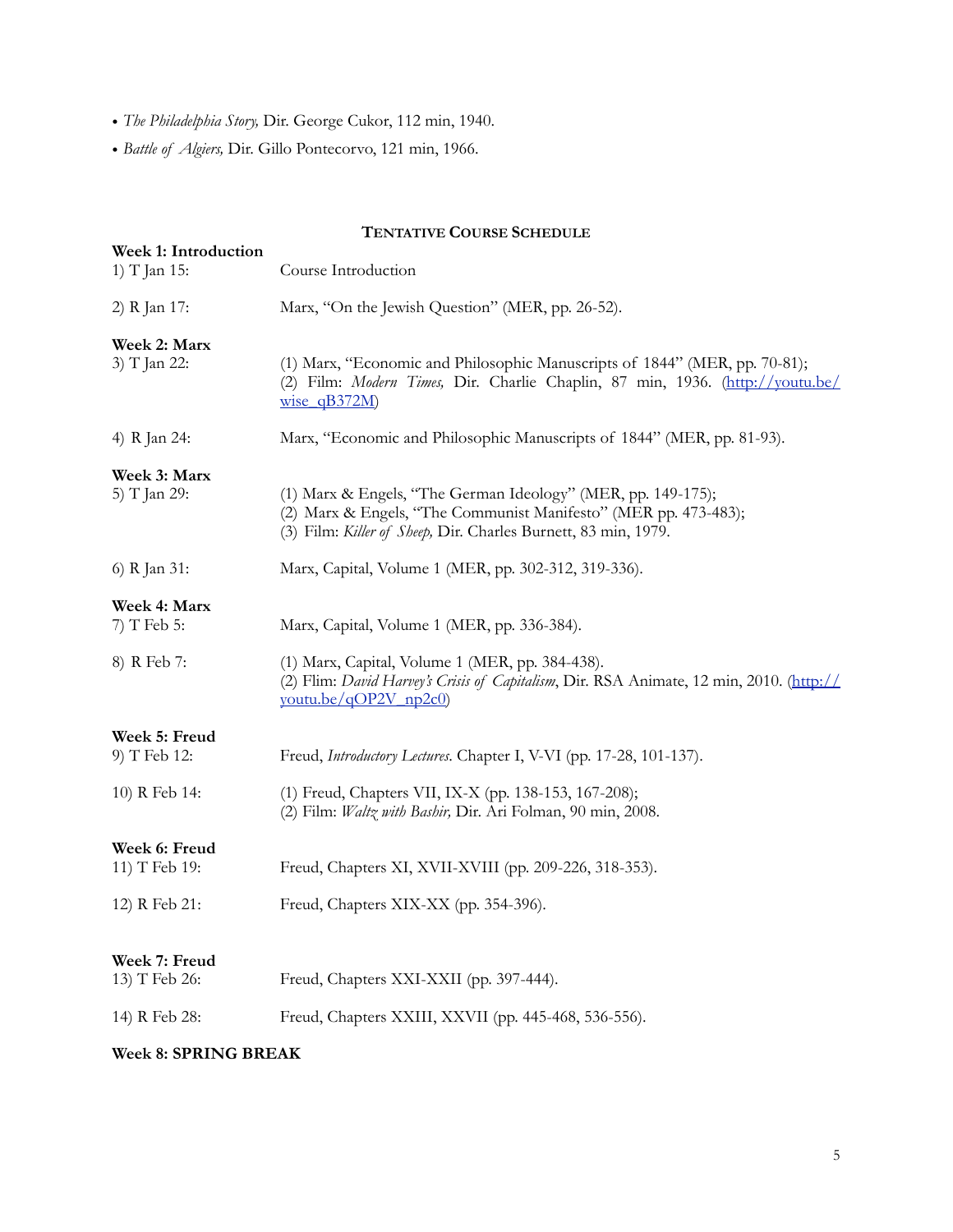- *The Philadelphia Story,* Dir. George Cukor, 112 min, 1940.
- *Battle of Algiers,* Dir. [Gillo Pontecorvo](http://www.imdb.com/name/nm0690597/), 121 min, 1966.

# **TENTATIVE COURSE SCHEDULE**

|                                      | <b>TEINIATIVE COUNSE SUREDULE</b>                                                                                                                                                                 |  |
|--------------------------------------|---------------------------------------------------------------------------------------------------------------------------------------------------------------------------------------------------|--|
| Week 1: Introduction<br>1) T Jan 15: | Course Introduction                                                                                                                                                                               |  |
| 2) R Jan 17:                         | Marx, "On the Jewish Question" (MER, pp. 26-52).                                                                                                                                                  |  |
| Week 2: Marx<br>3) T Jan 22:         | (1) Marx, "Economic and Philosophic Manuscripts of 1844" (MER, pp. 70-81);<br>(2) Film: Modern Times, Dir. Charlie Chaplin, 87 min, 1936. (http://youtu.be/<br>$wise$ qB372M)                     |  |
| 4) R Jan 24:                         | Marx, "Economic and Philosophic Manuscripts of 1844" (MER, pp. 81-93).                                                                                                                            |  |
| Week 3: Marx<br>5) T Jan 29:         | (1) Marx & Engels, "The German Ideology" (MER, pp. 149-175);<br>(2) Marx & Engels, "The Communist Manifesto" (MER pp. 473-483);<br>(3) Film: Killer of Sheep, Dir. Charles Burnett, 83 min, 1979. |  |
| 6) R Jan 31:                         | Marx, Capital, Volume 1 (MER, pp. 302-312, 319-336).                                                                                                                                              |  |
| Week 4: Marx                         |                                                                                                                                                                                                   |  |
| $7)$ T Feb 5:                        | Marx, Capital, Volume 1 (MER, pp. 336-384).                                                                                                                                                       |  |
| 8) R Feb 7:                          | (1) Marx, Capital, Volume 1 (MER, pp. 384-438).<br>(2) Flim: David Harvey's Crisis of Capitalism, Dir. RSA Animate, 12 min, 2010. (http://<br>youtu.be/qOP2V_np2c0)                               |  |
| Week 5: Freud<br>9) T Feb 12:        | Freud, Introductory Lectures. Chapter I, V-VI (pp. 17-28, 101-137).                                                                                                                               |  |
| 10) R Feb 14:                        | (1) Freud, Chapters VII, IX-X (pp. 138-153, 167-208);<br>(2) Film: Waltz with Bashir, Dir. Ari Folman, 90 min, 2008.                                                                              |  |
| Week 6: Freud                        |                                                                                                                                                                                                   |  |
| 11) T Feb 19:                        | Freud, Chapters XI, XVII-XVIII (pp. 209-226, 318-353).                                                                                                                                            |  |
| 12) R Feb 21:                        | Freud, Chapters XIX-XX (pp. 354-396).                                                                                                                                                             |  |
| Week 7: Freud<br>13) T Feb 26:       | Freud, Chapters XXI-XXII (pp. 397-444).                                                                                                                                                           |  |
| 14) R Feb 28:                        | Freud, Chapters XXIII, XXVII (pp. 445-468, 536-556).                                                                                                                                              |  |
| Week 8: SPRING BREAK                 |                                                                                                                                                                                                   |  |